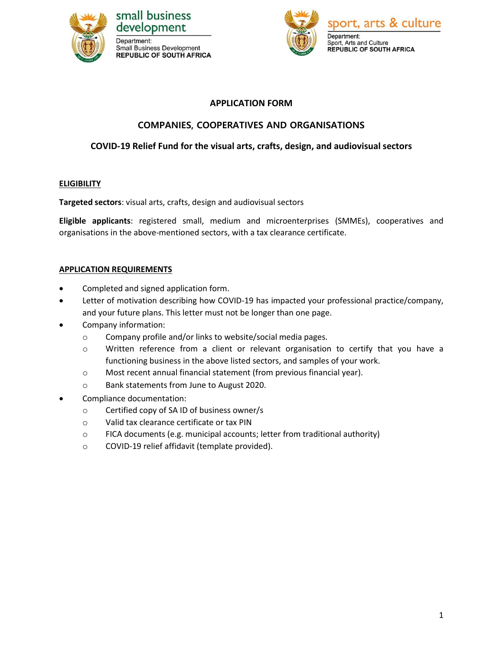

## small business development Department: **Small Business Development REPUBLIC OF SOUTH AFRICA**



# **APPLICATION FORM**

# **COMPANIES, COOPERATIVES AND ORGANISATIONS**

# **COVID-19 Relief Fund for the visual arts, crafts, design, and audiovisual sectors**

## **ELIGIBILITY**

**Targeted sectors**: visual arts, crafts, design and audiovisual sectors

**Eligible applicants**: registered small, medium and microenterprises (SMMEs), cooperatives and organisations in the above-mentioned sectors, with a tax clearance certificate.

## **APPLICATION REQUIREMENTS**

- Completed and signed application form.
- Letter of motivation describing how COVID-19 has impacted your professional practice/company, and your future plans. This letter must not be longer than one page.
- Company information:
	- o Company profile and/or links to website/social media pages.
	- o Written reference from a client or relevant organisation to certify that you have a functioning business in the above listed sectors, and samples of your work.
	- o Most recent annual financial statement (from previous financial year).
	- o Bank statements from June to August 2020.
- Compliance documentation:
	- o Certified copy of SA ID of business owner/s
	- o Valid tax clearance certificate or tax PIN
	- o FICA documents (e.g. municipal accounts; letter from traditional authority)
	- o COVID-19 relief affidavit (template provided).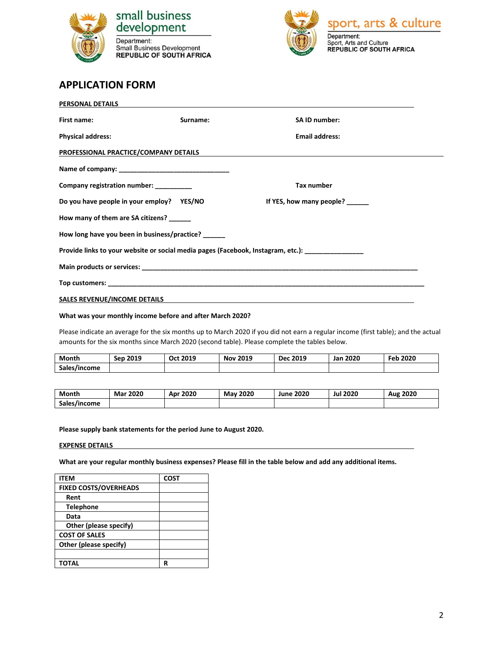

Department: Small Business Development<br>REPUBLIC OF SOUTH AFRICA



# **APPLICATION FORM**

| PERSONAL DETAILS                          |                                              |                                                                                                    |
|-------------------------------------------|----------------------------------------------|----------------------------------------------------------------------------------------------------|
| First name:                               | Surname:                                     | SA ID number:                                                                                      |
| <b>Physical address:</b>                  |                                              | <b>Email address:</b>                                                                              |
| PROFESSIONAL PRACTICE/COMPANY DETAILS     |                                              | <u> 1989 - Andrea Andrew Maria (h. 1989).</u>                                                      |
|                                           |                                              |                                                                                                    |
| Company registration number: ________     |                                              | <b>Tax number</b>                                                                                  |
| Do you have people in your employ? YES/NO |                                              | If YES, how many people? ______                                                                    |
| How many of them are SA citizens? ______  |                                              |                                                                                                    |
|                                           | How long have you been in business/practice? |                                                                                                    |
|                                           |                                              | Provide links to your website or social media pages (Facebook, Instagram, etc.): _________________ |
|                                           |                                              |                                                                                                    |
|                                           |                                              |                                                                                                    |
| <b>SALES REVENUE/INCOME DETAILS</b>       |                                              |                                                                                                    |

### **What was your monthly income before and after March 2020?**

Please indicate an average for the six months up to March 2020 if you did not earn a regular income (first table); and the actual amounts for the six months since March 2020 (second table). Please complete the tables below.

| Month        | Sep 2019 | Oct 2019 | <b>Nov 2019</b> | <b>Dec 2019</b> | <b>Jan 2020</b> | Feb 2020 |
|--------------|----------|----------|-----------------|-----------------|-----------------|----------|
| Sales/income |          |          |                 |                 |                 |          |

| Month        | 2020 | 2020 | 2020             | 2020 | 2020 | 2020 |
|--------------|------|------|------------------|------|------|------|
|              | Mar  | Apr  | Mav <sup>1</sup> | June | Jul  | Aug  |
| Sales/income |      |      |                  |      |      |      |

#### **Please supply bank statements for the period June to August 2020.**

#### **EXPENSE DETAILS**

**What are your regular monthly business expenses? Please fill in the table below and add any additional items.**

| <b>ITEM</b>                  | <b>COST</b> |
|------------------------------|-------------|
| <b>FIXED COSTS/OVERHEADS</b> |             |
| Rent                         |             |
| <b>Telephone</b>             |             |
| Data                         |             |
| Other (please specify)       |             |
| <b>COST OF SALES</b>         |             |
| Other (please specify)       |             |
|                              |             |
| TOTAL                        | R           |